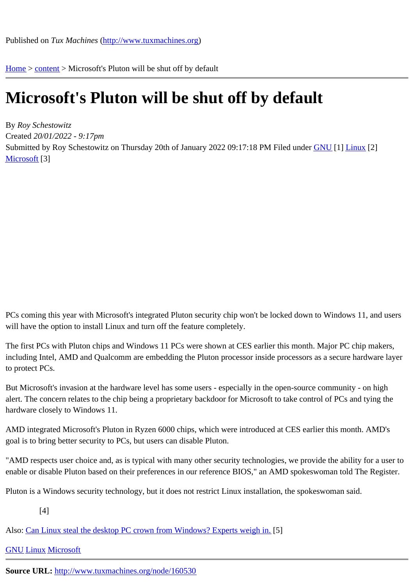Home > content > Microsoft'[s Pluton will be shut off by](http://www.tuxmachines.org) default

## [Mic](http://www.tuxmachines.org/)[roso](http://www.tuxmachines.org/node)ft's Pluton will be shut off by default

By Roy Schestowitz Created 20/01/2022 - 9:17pm Submitted by Roy Schestowitz on Thursday 20th of January 2022 09:17: F88 PM under GNU [1] Linux [2] Microsoft[3]

PCs coming this year with Microsoft's integrated Pluton security chip won't be locked down to Windows 11, and us will have the option to install Linux and turn off the feature completely.

The first PCs with Pluton chips and Windows 11 PCs were shown at CES earlier this month. Major PC chip maker including Intel, AMD and Qualcomm are embedding the Pluton processor inside processors as a secure hardware to protect PCs.

But Microsoft's invasion at the hardware level has some users - especially in the open-source community - on high alert. The concern relates to the chip being a proprietary backdoor for Microsoft to take control of PCs and tying th hardware closely to Windows 11.

AMD integrated Microsoft's Pluton in Ryzen 6000 chips, which were introduced at CES earlier this month. AMD's goal is to bring better security to PCs, but users can disable Pluton.

"AMD respects user choice and, as is typical with many other security technologies, we provide the ability for a use enable or disable Pluton based on their preferences in our reference BIOS," an AMD spokeswoman told The Regi

Pluton is a Windows security technology, but it does not restrict Linux installation, the spokeswoman said.

[4]

Also: Can Linux steal the desktop PC crown from Windows? Experts weigh in.

GNU Linux Microsoft

Source URL: [http://www.tuxmachines.org/node/160530](https://www.windowscentral.com/can-linux-win-desktop-pc)